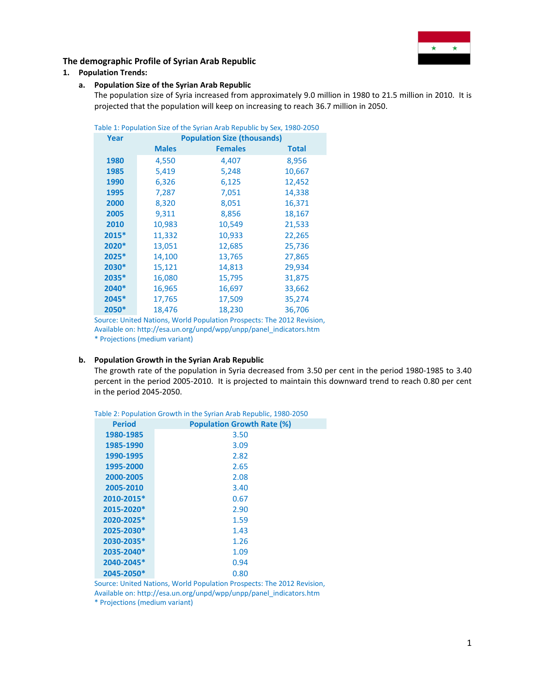

# **1. Population Trends:**

# **a. Population Size of the Syrian Arab Republic**

The population size of Syria increased from approximately 9.0 million in 1980 to 21.5 million in 2010. It is projected that the population will keep on increasing to reach 36.7 million in 2050.

|       |                                    | Table 1: Population Size of the Syrian Arab Republic by Sex, 1980-2050 |              |  |  |  |  |
|-------|------------------------------------|------------------------------------------------------------------------|--------------|--|--|--|--|
| Year  | <b>Population Size (thousands)</b> |                                                                        |              |  |  |  |  |
|       | <b>Males</b>                       | <b>Females</b>                                                         | <b>Total</b> |  |  |  |  |
| 1980  | 4,550                              | 4,407                                                                  | 8,956        |  |  |  |  |
| 1985  | 5,419                              | 5,248                                                                  | 10,667       |  |  |  |  |
| 1990  | 6,326                              | 6,125                                                                  | 12,452       |  |  |  |  |
| 1995  | 7,287                              | 7,051                                                                  | 14,338       |  |  |  |  |
| 2000  | 8,320                              | 8,051                                                                  | 16,371       |  |  |  |  |
| 2005  | 9,311                              | 8,856                                                                  | 18,167       |  |  |  |  |
| 2010  | 10,983                             | 10,549                                                                 | 21,533       |  |  |  |  |
| 2015* | 11,332                             | 10,933                                                                 | 22,265       |  |  |  |  |
| 2020* | 13,051                             | 12,685                                                                 | 25,736       |  |  |  |  |
| 2025* | 14,100                             | 13,765                                                                 | 27,865       |  |  |  |  |
| 2030* | 15,121                             | 14,813                                                                 | 29,934       |  |  |  |  |
| 2035* | 16,080                             | 15,795                                                                 | 31,875       |  |  |  |  |
| 2040* | 16,965                             | 16,697                                                                 | 33,662       |  |  |  |  |
| 2045* | 17,765                             | 17,509                                                                 | 35,274       |  |  |  |  |
| 2050* | 18,476                             | 18,230                                                                 | 36,706       |  |  |  |  |

Source: United Nations, World Population Prospects: The 2012 Revision, Available on: http://esa.un.org/unpd/wpp/unpp/panel\_indicators.htm \* Projections (medium variant)

### **b. Population Growth in the Syrian Arab Republic**

The growth rate of the population in Syria decreased from 3.50 per cent in the period 1980-1985 to 3.40 percent in the period 2005-2010. It is projected to maintain this downward trend to reach 0.80 per cent in the period 2045-2050.

|               | abic 2.1 Opdiation Growth in the Synah Arab Republic, 1960 |
|---------------|------------------------------------------------------------|
| <b>Period</b> | <b>Population Growth Rate (%)</b>                          |
| 1980-1985     | 3.50                                                       |
| 1985-1990     | 3.09                                                       |
| 1990-1995     | 2.82                                                       |
| 1995-2000     | 2.65                                                       |
| 2000-2005     | 2.08                                                       |
| 2005-2010     | 3.40                                                       |
| 2010-2015*    | 0.67                                                       |
| 2015-2020*    | 2.90                                                       |
| 2020-2025*    | 1.59                                                       |
| 2025-2030*    | 1.43                                                       |
| 2030-2035*    | 1.26                                                       |
| 2035-2040*    | 1.09                                                       |
| 2040-2045*    | 0.94                                                       |
| 2045-2050*    | 0.80                                                       |
|               |                                                            |

Table 2: Population Growth in the Syrian Arab Republic, 1980-2050

Source: United Nations, World Population Prospects: The 2012 Revision,

Available on: http://esa.un.org/unpd/wpp/unpp/panel\_indicators.htm

\* Projections (medium variant)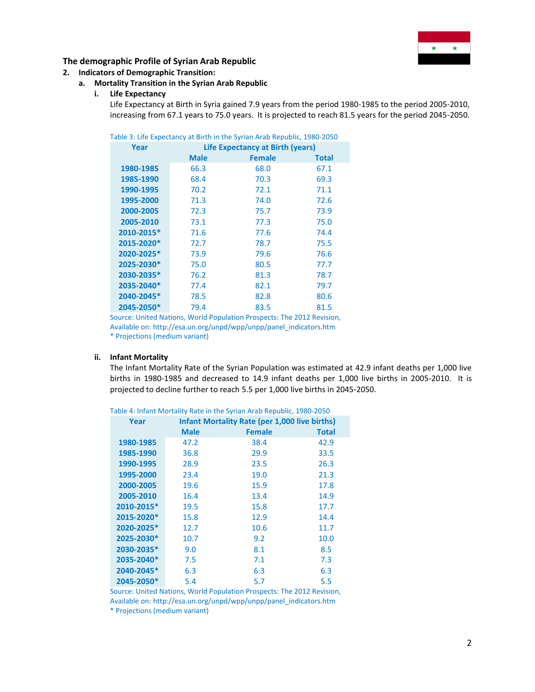

### **2. Indicators of Demographic Transition:**

# **a. Mortality Transition in the Syrian Arab Republic**

#### **i. Life Expectancy**

Life Expectancy at Birth in Syria gained 7.9 years from the period 1980-1985 to the period 2005-2010, increasing from 67.1 years to 75.0 years. It is projected to reach 81.5 years for the period 2045-2050.

|  |  | Table 3: Life Expectancy at Birth in the Syrian Arab Republic, 1980-2050 |  |
|--|--|--------------------------------------------------------------------------|--|
|  |  |                                                                          |  |

| Year       | <b>Life Expectancy at Birth (years)</b> |               |              |  |  |  |  |
|------------|-----------------------------------------|---------------|--------------|--|--|--|--|
|            | <b>Male</b>                             | <b>Female</b> | <b>Total</b> |  |  |  |  |
| 1980-1985  | 66.3                                    | 68.0          | 67.1         |  |  |  |  |
| 1985-1990  | 68.4                                    | 70.3          | 69.3         |  |  |  |  |
| 1990-1995  | 70.2                                    | 72.1          | 71.1         |  |  |  |  |
| 1995-2000  | 71.3                                    | 74.0          | 72.6         |  |  |  |  |
| 2000-2005  | 72.3                                    | 75.7          | 73.9         |  |  |  |  |
| 2005-2010  | 73.1                                    | 77.3          | 75.0         |  |  |  |  |
| 2010-2015* | 71.6                                    | 77.6          | 74.4         |  |  |  |  |
| 2015-2020* | 72.7                                    | 78.7          | 75.5         |  |  |  |  |
| 2020-2025* | 73.9                                    | 79.6          | 76.6         |  |  |  |  |
| 2025-2030* | 75.0                                    | 80.5          | 77.7         |  |  |  |  |
| 2030-2035* | 76.2                                    | 81.3          | 78.7         |  |  |  |  |
| 2035-2040* | 77.4                                    | 82.1          | 79.7         |  |  |  |  |
| 2040-2045* | 78.5                                    | 82.8          | 80.6         |  |  |  |  |
| 2045-2050* | 79.4                                    | 83.5          | 81.5         |  |  |  |  |

Source: United Nations, World Population Prospects: The 2012 Revision, Available on: http://esa.un.org/unpd/wpp/unpp/panel\_indicators.htm \* Projections (medium variant)

#### **ii. Infant Mortality**

The Infant Mortality Rate of the Syrian Population was estimated at 42.9 infant deaths per 1,000 live births in 1980-1985 and decreased to 14.9 infant deaths per 1,000 live births in 2005-2010. It is projected to decline further to reach 5.5 per 1,000 live births in 2045-2050.

| Year       | <b>Infant Mortality Rate (per 1,000 live births)</b> |               |              |  |  |  |
|------------|------------------------------------------------------|---------------|--------------|--|--|--|
|            | <b>Male</b>                                          | <b>Female</b> | <b>Total</b> |  |  |  |
| 1980-1985  | 47.2                                                 | 38.4          | 42.9         |  |  |  |
| 1985-1990  | 36.8                                                 | 29.9          | 33.5         |  |  |  |
| 1990-1995  | 28.9                                                 | 23.5          | 26.3         |  |  |  |
| 1995-2000  | 23.4                                                 | 19.0          | 21.3         |  |  |  |
| 2000-2005  | 19.6                                                 | 15.9          | 17.8         |  |  |  |
| 2005-2010  | 16.4                                                 | 13.4          | 14.9         |  |  |  |
| 2010-2015* | 19.5                                                 | 15.8          | 17.7         |  |  |  |
| 2015-2020* | 15.8                                                 | 12.9          | 14.4         |  |  |  |
| 2020-2025* | 12.7                                                 | 10.6          | 11.7         |  |  |  |
| 2025-2030* | 10.7                                                 | 9.2           | 10.0         |  |  |  |
| 2030-2035* | 9.0                                                  | 8.1           | 8.5          |  |  |  |
| 2035-2040* | 7.5                                                  | 7.1           | 7.3          |  |  |  |
| 2040-2045* | 6.3                                                  | 6.3           | 6.3          |  |  |  |
| 2045-2050* | 5.4                                                  | 5.7           | 5.5          |  |  |  |

Table 4: Infant Mortality Rate in the Syrian Arab Republic, 1980-2050

Source: United Nations, World Population Prospects: The 2012 Revision, Available on: http://esa.un.org/unpd/wpp/unpp/panel\_indicators.htm

\* Projections (medium variant)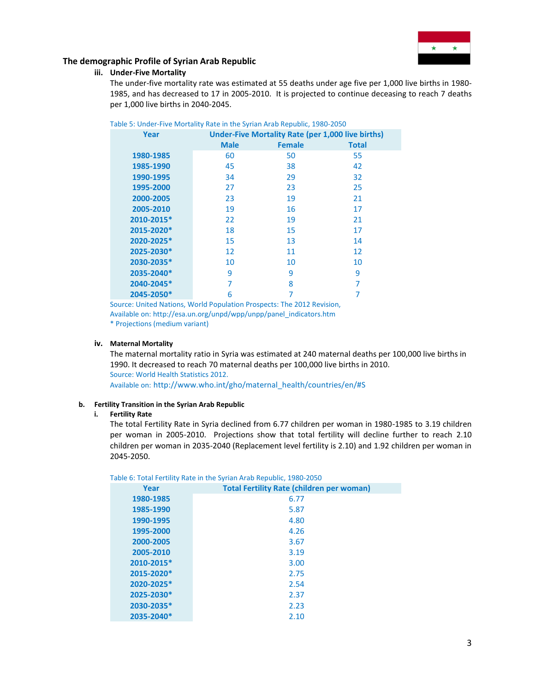

### **iii. Under-Five Mortality**

The under-five mortality rate was estimated at 55 deaths under age five per 1,000 live births in 1980- 1985, and has decreased to 17 in 2005-2010. It is projected to continue deceasing to reach 7 deaths per 1,000 live births in 2040-2045.

| Table 5: Under-Five Mortality Rate in the Syrian Arab Republic, 1980-2050 |             |                                                          |              |  |  |  |
|---------------------------------------------------------------------------|-------------|----------------------------------------------------------|--------------|--|--|--|
| Year                                                                      |             | <b>Under-Five Mortality Rate (per 1,000 live births)</b> |              |  |  |  |
|                                                                           | <b>Male</b> | <b>Female</b>                                            | <b>Total</b> |  |  |  |
| 1980-1985                                                                 | 60          | 50                                                       | 55           |  |  |  |
| 1985-1990                                                                 | 45          | 38                                                       | 42           |  |  |  |
| 1990-1995                                                                 | 34          | 29                                                       | 32           |  |  |  |
| 1995-2000                                                                 | 27          | 23                                                       | 25           |  |  |  |
| 2000-2005                                                                 | 23          | 19                                                       | 21           |  |  |  |
| 2005-2010                                                                 | 19          | 16                                                       | 17           |  |  |  |
| 2010-2015*                                                                | 22          | 19                                                       | 21           |  |  |  |
| 2015-2020*                                                                | 18          | 15                                                       | 17           |  |  |  |
| 2020-2025*                                                                | 15          | 13                                                       | 14           |  |  |  |
| 2025-2030*                                                                | 12          | 11                                                       | 12           |  |  |  |
| 2030-2035*                                                                | 10          | 10                                                       | 10           |  |  |  |
| 2035-2040*                                                                | 9           | 9                                                        | 9            |  |  |  |
| 2040-2045*                                                                | 7           | 8                                                        | 7            |  |  |  |
| 2045-2050*                                                                | 6           |                                                          |              |  |  |  |

Source: United Nations, World Population Prospects: The 2012 Revision, Available on: http://esa.un.org/unpd/wpp/unpp/panel\_indicators.htm \* Projections (medium variant)

### **iv. Maternal Mortality**

The maternal mortality ratio in Syria was estimated at 240 maternal deaths per 100,000 live births in 1990. It decreased to reach 70 maternal deaths per 100,000 live births in 2010. Source: World Health Statistics 2012. Available on: [http://www.who.int/gho/maternal\\_health/countries/en/#S](http://www.who.int/gho/maternal_health/countries/en/#M)

#### **b. Fertility Transition in the Syrian Arab Republic**

#### **i. Fertility Rate**

The total Fertility Rate in Syria declined from 6.77 children per woman in 1980-1985 to 3.19 children per woman in 2005-2010. Projections show that total fertility will decline further to reach 2.10 children per woman in 2035-2040 (Replacement level fertility is 2.10) and 1.92 children per woman in 2045-2050.

|            | able 6. Tutal Fertility Kate in the Synah Arab Republic, 1960-2050 |
|------------|--------------------------------------------------------------------|
| Year       | <b>Total Fertility Rate (children per woman)</b>                   |
| 1980-1985  | 6.77                                                               |
| 1985-1990  | 5.87                                                               |
| 1990-1995  | 4.80                                                               |
| 1995-2000  | 4.26                                                               |
| 2000-2005  | 3.67                                                               |
| 2005-2010  | 3.19                                                               |
| 2010-2015* | 3.00                                                               |
| 2015-2020* | 2.75                                                               |
| 2020-2025* | 2.54                                                               |
| 2025-2030* | 2.37                                                               |
| 2030-2035* | 2.23                                                               |
| 2035-2040* | 2.10                                                               |

Table 6: Total Fertility Rate in the Syrian Arab Republic, 1980-2050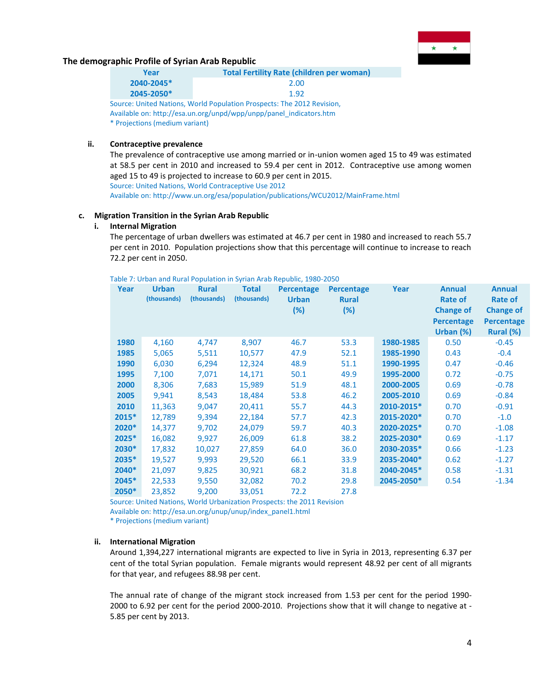

| Year       | <b>Total Fertility Rate (children per woman)</b> |
|------------|--------------------------------------------------|
| 2040-2045* | 2.00                                             |
| 2045-2050* | 1.92                                             |
|            |                                                  |

Source: United Nations, World Population Prospects: The 2012 Revision, Available on: http://esa.un.org/unpd/wpp/unpp/panel\_indicators.htm \* Projections (medium variant)

# **ii. Contraceptive prevalence**

The prevalence of contraceptive use among married or in-union women aged 15 to 49 was estimated at 58.5 per cent in 2010 and increased to 59.4 per cent in 2012. Contraceptive use among women aged 15 to 49 is projected to increase to 60.9 per cent in 2015. Source: United Nations, World Contraceptive Use 2012 Available on: http://www.un.org/esa/population/publications/WCU2012/MainFrame.html

### **c. Migration Transition in the Syrian Arab Republic**

#### **i. Internal Migration**

The percentage of urban dwellers was estimated at 46.7 per cent in 1980 and increased to reach 55.7 per cent in 2010. Population projections show that this percentage will continue to increase to reach 72.2 per cent in 2050.

| Table 7: Urban and Rural Population in Syrian Arab Republic, 1980-2050 |  |  |  |
|------------------------------------------------------------------------|--|--|--|
|                                                                        |  |  |  |

| Year  | <b>Urban</b><br>(thousands) | <b>Rural</b><br>(thousands) | <b>Total</b><br>(thousands) | <b>Percentage</b><br><b>Urban</b><br>$(\%)$ | Percentage<br><b>Rural</b><br>(%) | Year       | <b>Annual</b><br>Rate of<br><b>Change of</b><br><b>Percentage</b><br>Urban $(%)$ | <b>Annual</b><br>Rate of<br><b>Change of</b><br><b>Percentage</b><br>Rural (%) |
|-------|-----------------------------|-----------------------------|-----------------------------|---------------------------------------------|-----------------------------------|------------|----------------------------------------------------------------------------------|--------------------------------------------------------------------------------|
| 1980  | 4,160                       | 4,747                       | 8,907                       | 46.7                                        | 53.3                              | 1980-1985  | 0.50                                                                             | $-0.45$                                                                        |
| 1985  | 5,065                       | 5,511                       | 10,577                      | 47.9                                        | 52.1                              | 1985-1990  | 0.43                                                                             | $-0.4$                                                                         |
| 1990  | 6,030                       | 6,294                       | 12,324                      | 48.9                                        | 51.1                              | 1990-1995  | 0.47                                                                             | $-0.46$                                                                        |
| 1995  | 7,100                       | 7,071                       | 14,171                      | 50.1                                        | 49.9                              | 1995-2000  | 0.72                                                                             | $-0.75$                                                                        |
| 2000  | 8,306                       | 7,683                       | 15,989                      | 51.9                                        | 48.1                              | 2000-2005  | 0.69                                                                             | $-0.78$                                                                        |
| 2005  | 9,941                       | 8,543                       | 18,484                      | 53.8                                        | 46.2                              | 2005-2010  | 0.69                                                                             | $-0.84$                                                                        |
| 2010  | 11,363                      | 9,047                       | 20,411                      | 55.7                                        | 44.3                              | 2010-2015* | 0.70                                                                             | $-0.91$                                                                        |
| 2015* | 12,789                      | 9,394                       | 22,184                      | 57.7                                        | 42.3                              | 2015-2020* | 0.70                                                                             | $-1.0$                                                                         |
| 2020* | 14,377                      | 9,702                       | 24,079                      | 59.7                                        | 40.3                              | 2020-2025* | 0.70                                                                             | $-1.08$                                                                        |
| 2025* | 16,082                      | 9,927                       | 26,009                      | 61.8                                        | 38.2                              | 2025-2030* | 0.69                                                                             | $-1.17$                                                                        |
| 2030* | 17,832                      | 10,027                      | 27,859                      | 64.0                                        | 36.0                              | 2030-2035* | 0.66                                                                             | $-1.23$                                                                        |
| 2035* | 19,527                      | 9,993                       | 29,520                      | 66.1                                        | 33.9                              | 2035-2040* | 0.62                                                                             | $-1.27$                                                                        |
| 2040* | 21,097                      | 9,825                       | 30,921                      | 68.2                                        | 31.8                              | 2040-2045* | 0.58                                                                             | $-1.31$                                                                        |
| 2045* | 22,533                      | 9,550                       | 32,082                      | 70.2                                        | 29.8                              | 2045-2050* | 0.54                                                                             | $-1.34$                                                                        |
| 2050* | 23,852                      | 9,200                       | 33,051                      | 72.2                                        | 27.8                              |            |                                                                                  |                                                                                |

Source: United Nations, World Urbanization Prospects: the 2011 Revision Available on[: http://esa.un.org/unup/unup/index\\_panel1.html](http://esa.un.org/unup/unup/index_panel1.html) \* Projections (medium variant)

#### **ii. International Migration**

Around 1,394,227 international migrants are expected to live in Syria in 2013, representing 6.37 per cent of the total Syrian population. Female migrants would represent 48.92 per cent of all migrants for that year, and refugees 88.98 per cent.

The annual rate of change of the migrant stock increased from 1.53 per cent for the period 1990- 2000 to 6.92 per cent for the period 2000-2010. Projections show that it will change to negative at - 5.85 per cent by 2013.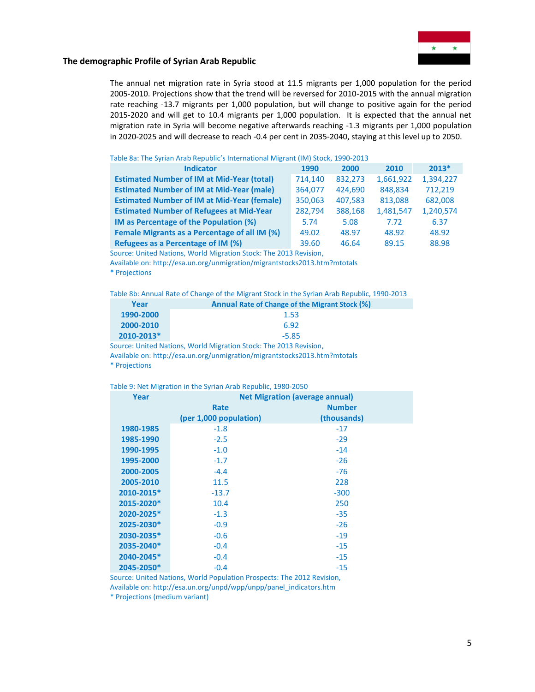

The annual net migration rate in Syria stood at 11.5 migrants per 1,000 population for the period 2005-2010. Projections show that the trend will be reversed for 2010-2015 with the annual migration rate reaching -13.7 migrants per 1,000 population, but will change to positive again for the period 2015-2020 and will get to 10.4 migrants per 1,000 population. It is expected that the annual net migration rate in Syria will become negative afterwards reaching -1.3 migrants per 1,000 population in 2020-2025 and will decrease to reach -0.4 per cent in 2035-2040, staying at this level up to 2050.

#### Table 8a: The Syrian Arab Republic's International Migrant (IM) Stock, 1990-2013

| <b>Indicator</b>                                   | 1990    | 2000    | 2010      | $2013*$   |
|----------------------------------------------------|---------|---------|-----------|-----------|
| <b>Estimated Number of IM at Mid-Year (total)</b>  | 714.140 | 832,273 | 1,661,922 | 1,394,227 |
| <b>Estimated Number of IM at Mid-Year (male)</b>   | 364.077 | 424.690 | 848.834   | 712,219   |
| <b>Estimated Number of IM at Mid-Year (female)</b> | 350,063 | 407.583 | 813.088   | 682,008   |
| <b>Estimated Number of Refugees at Mid-Year</b>    | 282,794 | 388,168 | 1,481,547 | 1,240,574 |
| IM as Percentage of the Population (%)             | 5.74    | 5.08    | 7.72      | 6.37      |
| Female Migrants as a Percentage of all IM (%)      | 49.02   | 48.97   | 48.92     | 48.92     |
| Refugees as a Percentage of IM (%)                 | 39.60   | 46.64   | 89.15     | 88.98     |

Source: United Nations, World Migration Stock: The 2013 Revision,

Available on: http://esa.un.org/unmigration/migrantstocks2013.htm?mtotals \* Projections

Table 8b: Annual Rate of Change of the Migrant Stock in the Syrian Arab Republic, 1990-2013

| Year       | Annual Rate of Change of the Migrant Stock (%) |
|------------|------------------------------------------------|
| 1990-2000  | 1.53                                           |
| 2000-2010  | 6.92                                           |
| 2010-2013* | $-5.85$                                        |

Source: United Nations, World Migration Stock: The 2013 Revision, Available on: http://esa.un.org/unmigration/migrantstocks2013.htm?mtotals \* Projections

| Table 9: Net Migration in the Syrian Arab Republic, 1980-2050 |  |  |
|---------------------------------------------------------------|--|--|
|---------------------------------------------------------------|--|--|

| Year       | <b>Net Migration (average annual)</b> |               |  |  |  |  |  |
|------------|---------------------------------------|---------------|--|--|--|--|--|
|            | Rate                                  | <b>Number</b> |  |  |  |  |  |
|            | (per 1,000 population)                | (thousands)   |  |  |  |  |  |
| 1980-1985  | $-1.8$                                | $-17$         |  |  |  |  |  |
| 1985-1990  | $-2.5$                                | $-29$         |  |  |  |  |  |
| 1990-1995  | $-1.0$                                | $-14$         |  |  |  |  |  |
| 1995-2000  | $-1.7$                                | $-26$         |  |  |  |  |  |
| 2000-2005  | $-4.4$                                | $-76$         |  |  |  |  |  |
| 2005-2010  | 11.5                                  | 228           |  |  |  |  |  |
| 2010-2015* | $-13.7$                               | $-300$        |  |  |  |  |  |
| 2015-2020* | 10.4                                  | 250           |  |  |  |  |  |
| 2020-2025* | $-1.3$                                | $-35$         |  |  |  |  |  |
| 2025-2030* | $-0.9$                                | $-26$         |  |  |  |  |  |
| 2030-2035* | $-0.6$                                | $-19$         |  |  |  |  |  |
| 2035-2040* | $-0.4$                                | $-15$         |  |  |  |  |  |
| 2040-2045* | $-0.4$                                | $-15$         |  |  |  |  |  |
| 2045-2050* | $-0.4$                                | $-15$         |  |  |  |  |  |

Source: United Nations, World Population Prospects: The 2012 Revision, Available on: http://esa.un.org/unpd/wpp/unpp/panel\_indicators.htm

\* Projections (medium variant)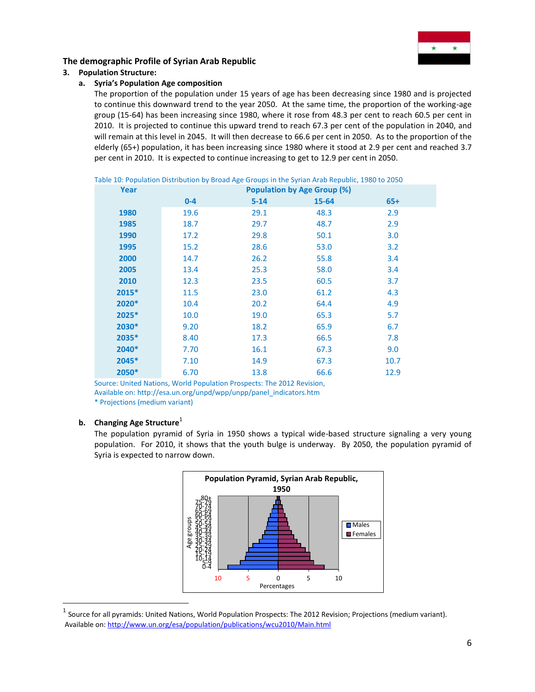

# **3. Population Structure:**

# **a. Syria's Population Age composition**

The proportion of the population under 15 years of age has been decreasing since 1980 and is projected to continue this downward trend to the year 2050. At the same time, the proportion of the working-age group (15-64) has been increasing since 1980, where it rose from 48.3 per cent to reach 60.5 per cent in 2010. It is projected to continue this upward trend to reach 67.3 per cent of the population in 2040, and will remain at this level in 2045. It will then decrease to 66.6 per cent in 2050. As to the proportion of the elderly (65+) population, it has been increasing since 1980 where it stood at 2.9 per cent and reached 3.7 per cent in 2010. It is expected to continue increasing to get to 12.9 per cent in 2050.

| Year    | <b>Population by Age Group (%)</b> |          |       |       |  |  |  |  |
|---------|------------------------------------|----------|-------|-------|--|--|--|--|
|         | $0 - 4$                            | $5 - 14$ | 15-64 | $65+$ |  |  |  |  |
| 1980    | 19.6                               | 29.1     | 48.3  | 2.9   |  |  |  |  |
| 1985    | 18.7                               | 29.7     | 48.7  | 2.9   |  |  |  |  |
| 1990    | 17.2                               | 29.8     | 50.1  | 3.0   |  |  |  |  |
| 1995    | 15.2                               | 28.6     | 53.0  | 3.2   |  |  |  |  |
| 2000    | 14.7                               | 26.2     | 55.8  | 3.4   |  |  |  |  |
| 2005    | 13.4                               | 25.3     | 58.0  | 3.4   |  |  |  |  |
| 2010    | 12.3                               | 23.5     | 60.5  | 3.7   |  |  |  |  |
| $2015*$ | 11.5                               | 23.0     | 61.2  | 4.3   |  |  |  |  |
| 2020*   | 10.4                               | 20.2     | 64.4  | 4.9   |  |  |  |  |
| 2025*   | 10.0                               | 19.0     | 65.3  | 5.7   |  |  |  |  |
| 2030*   | 9.20                               | 18.2     | 65.9  | 6.7   |  |  |  |  |
| 2035*   | 8.40                               | 17.3     | 66.5  | 7.8   |  |  |  |  |
| 2040*   | 7.70                               | 16.1     | 67.3  | 9.0   |  |  |  |  |
| 2045*   | 7.10                               | 14.9     | 67.3  | 10.7  |  |  |  |  |
| 2050*   | 6.70                               | 13.8     | 66.6  | 12.9  |  |  |  |  |

Table 10: Population Distribution by Broad Age Groups in the Syrian Arab Republic, 1980 to 2050

Source: United Nations, World Population Prospects: The 2012 Revision, Available on: http://esa.un.org/unpd/wpp/unpp/panel\_indicators.htm \* Projections (medium variant)

# **b.** Changing Age Structure<sup>1</sup>

l

The population pyramid of Syria in 1950 shows a typical wide-based structure signaling a very young population. For 2010, it shows that the youth bulge is underway. By 2050, the population pyramid of Syria is expected to narrow down.



 $^1$  Source for all pyramids: United Nations, World Population Prospects: The 2012 Revision; Projections (medium variant). Available on[: http://www.un.org/esa/population/publications/wcu2010/Main.html](http://www.un.org/esa/population/publications/wcu2010/Main.html)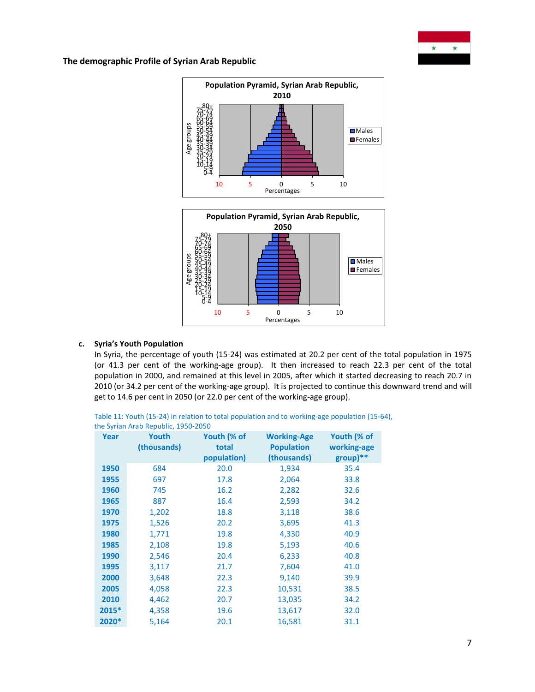





### **c. Syria's Youth Population**

In Syria, the percentage of youth (15-24) was estimated at 20.2 per cent of the total population in 1975 (or 41.3 per cent of the working-age group). It then increased to reach 22.3 per cent of the total population in 2000, and remained at this level in 2005, after which it started decreasing to reach 20.7 in 2010 (or 34.2 per cent of the working-age group). It is projected to continue this downward trend and will get to 14.6 per cent in 2050 (or 22.0 per cent of the working-age group).

Table 11: Youth (15-24) in relation to total population and to working-age population (15-64), the Syrian Arab Republic, 1950-2050

| Year  | Youth<br>(thousands) | Youth (% of<br>total<br>population) | <b>Working-Age</b><br><b>Population</b><br>(thousands) | Youth (% of<br>working-age<br>group)** |
|-------|----------------------|-------------------------------------|--------------------------------------------------------|----------------------------------------|
| 1950  | 684                  | 20.0                                | 1,934                                                  | 35.4                                   |
| 1955  | 697                  | 17.8                                | 2,064                                                  | 33.8                                   |
| 1960  | 745                  | 16.2                                | 2,282                                                  | 32.6                                   |
| 1965  | 887                  | 16.4                                | 2,593                                                  | 34.2                                   |
| 1970  | 1,202                | 18.8                                | 3,118                                                  | 38.6                                   |
| 1975  | 1,526                | 20.2                                | 3,695                                                  | 41.3                                   |
| 1980  | 1,771                | 19.8                                | 4,330                                                  | 40.9                                   |
| 1985  | 2,108                | 19.8                                | 5,193                                                  | 40.6                                   |
| 1990  | 2,546                | 20.4                                | 6,233                                                  | 40.8                                   |
| 1995  | 3,117                | 21.7                                | 7,604                                                  | 41.0                                   |
| 2000  | 3,648                | 22.3                                | 9,140                                                  | 39.9                                   |
| 2005  | 4,058                | 22.3                                | 10,531                                                 | 38.5                                   |
| 2010  | 4,462                | 20.7                                | 13,035                                                 | 34.2                                   |
| 2015* | 4,358                | 19.6                                | 13,617                                                 | 32.0                                   |
| 2020* | 5,164                | 20.1                                | 16,581                                                 | 31.1                                   |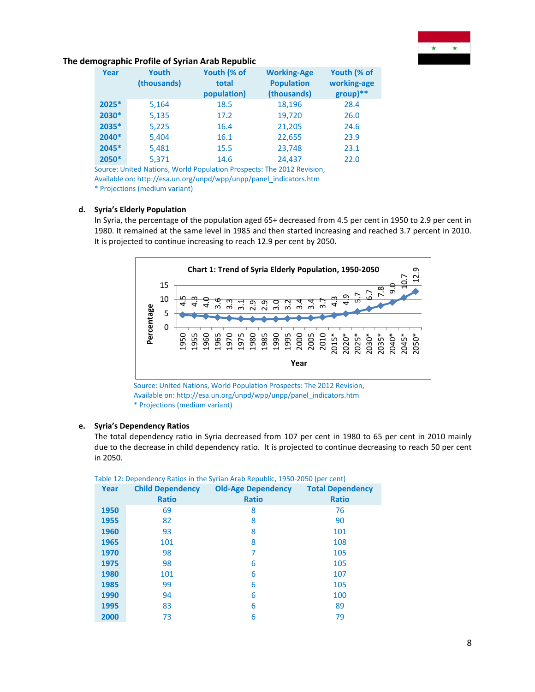

| Year  | Youth<br>(thousands) | Youth (% of<br>total<br>population) | <b>Working-Age</b><br><b>Population</b><br>(thousands) | Youth (% of<br>working-age<br>$group)$ ** |
|-------|----------------------|-------------------------------------|--------------------------------------------------------|-------------------------------------------|
| 2025* | 5,164                | 18.5                                | 18,196                                                 | 28.4                                      |
| 2030* | 5,135                | 17.2                                | 19,720                                                 | 26.0                                      |
| 2035* | 5,225                | 16.4                                | 21,205                                                 | 24.6                                      |
| 2040* | 5,404                | 16.1                                | 22,655                                                 | 23.9                                      |
| 2045* | 5,481                | 15.5                                | 23,748                                                 | 23.1                                      |
| 2050* | 5,371                | 14.6                                | 24.437                                                 | 22.0                                      |

Source: United Nations, World Population Prospects: The 2012 Revision, Available on: http://esa.un.org/unpd/wpp/unpp/panel\_indicators.htm \* Projections (medium variant)

## **d. Syria's Elderly Population**

In Syria, the percentage of the population aged 65+ decreased from 4.5 per cent in 1950 to 2.9 per cent in 1980. It remained at the same level in 1985 and then started increasing and reached 3.7 percent in 2010. It is projected to continue increasing to reach 12.9 per cent by 2050.



Source: United Nations, World Population Prospects: The 2012 Revision, Available on[: http://esa.un.org/unpd/wpp/unpp/panel\\_indicators.htm](http://esa.un.org/unpd/wpp/unpp/panel_indicators.htm) \* Projections (medium variant)

#### **e. Syria's Dependency Ratios**

The total dependency ratio in Syria decreased from 107 per cent in 1980 to 65 per cent in 2010 mainly due to the decrease in child dependency ratio. It is projected to continue decreasing to reach 50 per cent in 2050.

|          |                                                                                                                                                                                                                                                                                                                                                                                   | 10<br>5      |            |     |      |                           | ന്   |              | 0.9<br>2.9 |      | $m \dot{m}$ $m \dot{m}$ |      |      |      |       |                                         |       | <u>ن</u> ه نه |  |
|----------|-----------------------------------------------------------------------------------------------------------------------------------------------------------------------------------------------------------------------------------------------------------------------------------------------------------------------------------------------------------------------------------|--------------|------------|-----|------|---------------------------|------|--------------|------------|------|-------------------------|------|------|------|-------|-----------------------------------------|-------|---------------|--|
|          |                                                                                                                                                                                                                                                                                                                                                                                   | $\Omega$     |            |     |      |                           |      |              |            |      |                         |      |      |      |       |                                         |       |               |  |
|          | Percentage                                                                                                                                                                                                                                                                                                                                                                        |              | 955<br>950 | 960 | 1965 | 1970                      | 1975 | 1980         | 1985       | 1990 | 1995                    | 2000 | 2005 | 2010 | 2015* | 2020*                                   | 2025* | 2030*         |  |
|          |                                                                                                                                                                                                                                                                                                                                                                                   |              |            |     |      |                           |      |              |            |      |                         | Year |      |      |       |                                         |       |               |  |
| in 2050. | Source: United Nations, World Population Prospects: The 2012 Revision,<br>Available on: http://esa.un.org/unpd/wpp/unpp/panel indicators.htm<br>* Projections (medium variant)<br>Syria's Dependency Ratios<br>The total dependency ratio in Syria decreased from 107 per cent in 1980 to 65<br>due to the decrease in child dependency ratio. It is projected to continue decrea |              |            |     |      |                           |      |              |            |      |                         |      |      |      |       |                                         |       |               |  |
|          | Table 12: Dependency Ratios in the Syrian Arab Republic, 1950-2050 (per cent)                                                                                                                                                                                                                                                                                                     |              |            |     |      |                           |      |              |            |      |                         |      |      |      |       |                                         |       |               |  |
| Year     | <b>Child Dependency</b>                                                                                                                                                                                                                                                                                                                                                           | <b>Ratio</b> |            |     |      | <b>Old-Age Dependency</b> |      | <b>Ratio</b> |            |      |                         |      |      |      |       | <b>Total Dependency</b><br><b>Ratio</b> |       |               |  |
| 1950     |                                                                                                                                                                                                                                                                                                                                                                                   | 69           |            |     |      |                           |      | 8            |            |      |                         |      |      |      |       | 76                                      |       |               |  |
| 1955     |                                                                                                                                                                                                                                                                                                                                                                                   | 82           |            |     |      |                           |      | 8            |            |      |                         |      |      |      |       | 90                                      |       |               |  |
| 1960     |                                                                                                                                                                                                                                                                                                                                                                                   | 93           |            |     |      |                           |      | 8            |            |      |                         |      |      |      |       | 101                                     |       |               |  |
| 1965     |                                                                                                                                                                                                                                                                                                                                                                                   | 101          |            |     |      |                           |      | 8            |            |      |                         |      |      |      |       | 108                                     |       |               |  |
| 1970     |                                                                                                                                                                                                                                                                                                                                                                                   | 98           |            |     |      |                           |      | 7            |            |      |                         |      |      |      |       | 105                                     |       |               |  |
| 1975     |                                                                                                                                                                                                                                                                                                                                                                                   | 98           |            |     |      |                           |      | 6            |            |      |                         |      |      |      |       | 105                                     |       |               |  |
| 1980     |                                                                                                                                                                                                                                                                                                                                                                                   | 101          |            |     |      |                           |      | 6            |            |      |                         |      |      |      |       | 107                                     |       |               |  |
| 1985     |                                                                                                                                                                                                                                                                                                                                                                                   | 99           |            |     |      |                           |      | 6            |            |      |                         |      |      |      |       | 105                                     |       |               |  |
| 1990     |                                                                                                                                                                                                                                                                                                                                                                                   | 94           |            |     |      |                           |      | 6            |            |      |                         |      |      |      |       | 100                                     |       |               |  |
| 1995     |                                                                                                                                                                                                                                                                                                                                                                                   | 83           |            |     |      |                           |      | 6            |            |      |                         |      |      |      | 89    |                                         |       |               |  |
| 2000     | 73                                                                                                                                                                                                                                                                                                                                                                                |              |            |     |      | 6                         |      |              |            |      | 79                      |      |      |      |       |                                         |       |               |  |

| Table 12: Dependency Ratios in the Syrian Arab Republic, 1950-2050 (per cent) |  |
|-------------------------------------------------------------------------------|--|
|-------------------------------------------------------------------------------|--|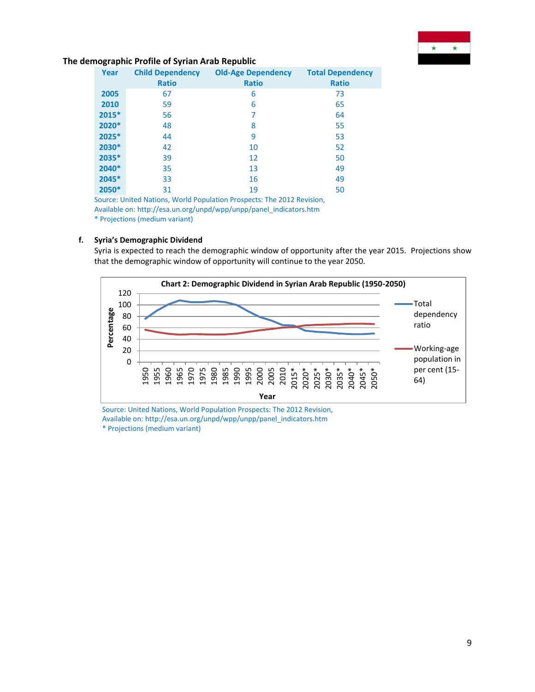

| Year  | <b>Child Dependency</b><br><b>Ratio</b> | <b>Old-Age Dependency</b><br><b>Ratio</b> | <b>Total Dependency</b><br><b>Ratio</b> |
|-------|-----------------------------------------|-------------------------------------------|-----------------------------------------|
| 2005  | 67                                      | 6                                         | 73                                      |
| 2010  | 59                                      | 6                                         | 65                                      |
| 2015* | 56                                      | 7                                         | 64                                      |
| 2020* | 48                                      | 8                                         | 55                                      |
| 2025* | 44                                      | 9                                         | 53                                      |
| 2030* | 42                                      | 10                                        | 52                                      |
| 2035* | 39                                      | 12                                        | 50                                      |
| 2040* | 35                                      | 13                                        | 49                                      |
| 2045* | 33                                      | 16                                        | 49                                      |
| 2050* | 31                                      | 19                                        | 50                                      |

Source: United Nations, World Population Prospects: The 2012 Revision, Available on[: http://esa.un.org/unpd/wpp/unpp/panel\\_indicators.htm](http://esa.un.org/unpd/wpp/unpp/panel_indicators.htm) \* Projections (medium variant)

### **f. Syria's Demographic Dividend**

Syria is expected to reach the demographic window of opportunity after the year 2015. Projections show that the demographic window of opportunity will continue to the year 2050.



Source: United Nations, World Population Prospects: The 2012 Revision, Available on[: http://esa.un.org/unpd/wpp/unpp/panel\\_indicators.htm](http://esa.un.org/unpd/wpp/unpp/panel_indicators.htm) \* Projections (medium variant)